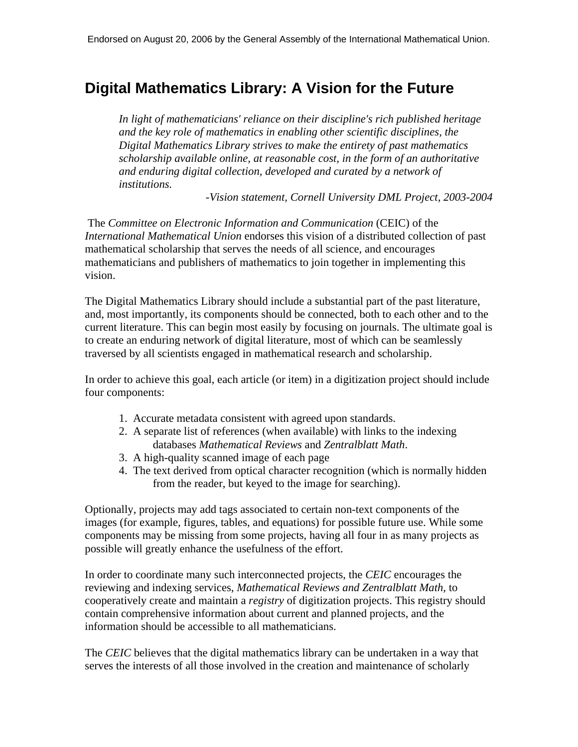## **Digital Mathematics Library: A Vision for the Future**

*In light of mathematicians' reliance on their discipline's rich published heritage and the key role of mathematics in enabling other scientific disciplines, the Digital Mathematics Library strives to make the entirety of past mathematics scholarship available online, at reasonable cost, in the form of an authoritative and enduring digital collection, developed and curated by a network of institutions.* 

*-Vision statement, Cornell University DML Project, 2003-2004*

The *Committee on Electronic Information and Communication* (CEIC) of the *International Mathematical Union* endorses this vision of a distributed collection of past mathematical scholarship that serves the needs of all science, and encourages mathematicians and publishers of mathematics to join together in implementing this vision.

The Digital Mathematics Library should include a substantial part of the past literature, and, most importantly, its components should be connected, both to each other and to the current literature. This can begin most easily by focusing on journals. The ultimate goal is to create an enduring network of digital literature, most of which can be seamlessly traversed by all scientists engaged in mathematical research and scholarship.

In order to achieve this goal, each article (or item) in a digitization project should include four components:

- 1. Accurate metadata consistent with agreed upon standards.
- 2. A separate list of references (when available) with links to the indexing databases *Mathematical Reviews* and *Zentralblatt Math*.
- 3. A high-quality scanned image of each page
- 4. The text derived from optical character recognition (which is normally hidden from the reader, but keyed to the image for searching).

Optionally, projects may add tags associated to certain non-text components of the images (for example, figures, tables, and equations) for possible future use. While some components may be missing from some projects, having all four in as many projects as possible will greatly enhance the usefulness of the effort.

In order to coordinate many such interconnected projects, the *CEIC* encourages the reviewing and indexing services, *Mathematical Reviews and Zentralblatt Math*, to cooperatively create and maintain a *registry* of digitization projects. This registry should contain comprehensive information about current and planned projects, and the information should be accessible to all mathematicians.

The *CEIC* believes that the digital mathematics library can be undertaken in a way that serves the interests of all those involved in the creation and maintenance of scholarly